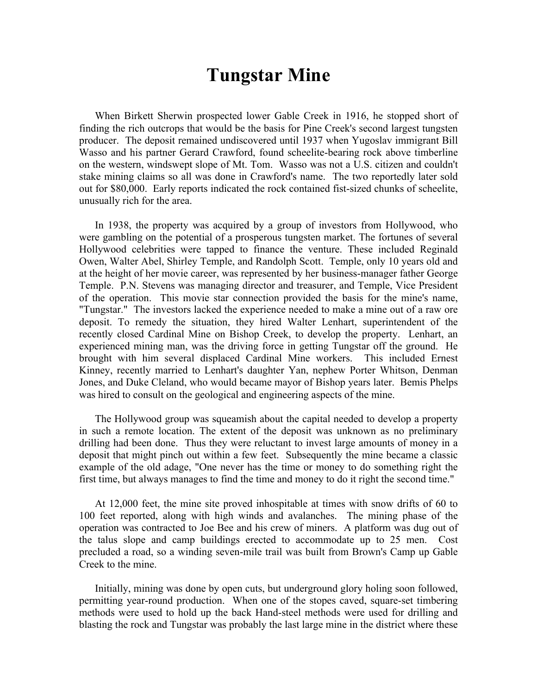## **Tungstar Mine**

When Birkett Sherwin prospected lower Gable Creek in 1916, he stopped short of finding the rich outcrops that would be the basis for Pine Creek's second largest tungsten producer. The deposit remained undiscovered until 1937 when Yugoslav immigrant Bill Wasso and his partner Gerard Crawford, found scheelite-bearing rock above timberline on the western, windswept slope of Mt. Tom. Wasso was not a U.S. citizen and couldn't stake mining claims so all was done in Crawford's name. The two reportedly later sold out for \$80,000. Early reports indicated the rock contained fist-sized chunks of scheelite, unusually rich for the area.

In 1938, the property was acquired by a group of investors from Hollywood, who were gambling on the potential of a prosperous tungsten market. The fortunes of several Hollywood celebrities were tapped to finance the venture. These included Reginald Owen, Walter Abel, Shirley Temple, and Randolph Scott. Temple, only 10 years old and at the height of her movie career, was represented by her business-manager father George Temple. P.N. Stevens was managing director and treasurer, and Temple, Vice President of the operation. This movie star connection provided the basis for the mine's name, "Tungstar." The investors lacked the experience needed to make a mine out of a raw ore deposit. To remedy the situation, they hired Walter Lenhart, superintendent of the recently closed Cardinal Mine on Bishop Creek, to develop the property. Lenhart, an experienced mining man, was the driving force in getting Tungstar off the ground. He brought with him several displaced Cardinal Mine workers. This included Ernest Kinney, recently married to Lenhart's daughter Yan, nephew Porter Whitson, Denman Jones, and Duke Cleland, who would became mayor of Bishop years later. Bemis Phelps was hired to consult on the geological and engineering aspects of the mine.

The Hollywood group was squeamish about the capital needed to develop a property in such a remote location. The extent of the deposit was unknown as no preliminary drilling had been done. Thus they were reluctant to invest large amounts of money in a deposit that might pinch out within a few feet. Subsequently the mine became a classic example of the old adage, "One never has the time or money to do something right the first time, but always manages to find the time and money to do it right the second time."

At 12,000 feet, the mine site proved inhospitable at times with snow drifts of 60 to 100 feet reported, along with high winds and avalanches. The mining phase of the operation was contracted to Joe Bee and his crew of miners. A platform was dug out of the talus slope and camp buildings erected to accommodate up to 25 men. Cost precluded a road, so a winding seven-mile trail was built from Brown's Camp up Gable Creek to the mine.

Initially, mining was done by open cuts, but underground glory holing soon followed, permitting year-round production. When one of the stopes caved, square-set timbering methods were used to hold up the back Hand-steel methods were used for drilling and blasting the rock and Tungstar was probably the last large mine in the district where these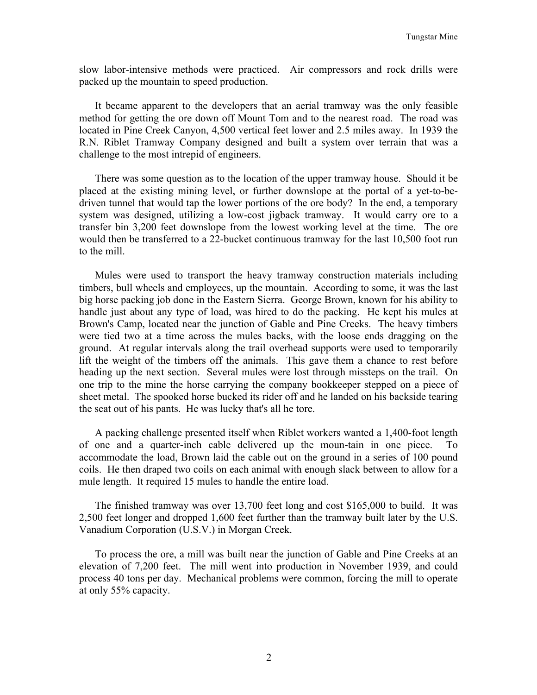slow labor-intensive methods were practiced. Air compressors and rock drills were packed up the mountain to speed production.

It became apparent to the developers that an aerial tramway was the only feasible method for getting the ore down off Mount Tom and to the nearest road. The road was located in Pine Creek Canyon, 4,500 vertical feet lower and 2.5 miles away. In 1939 the R.N. Riblet Tramway Company designed and built a system over terrain that was a challenge to the most intrepid of engineers.

There was some question as to the location of the upper tramway house. Should it be placed at the existing mining level, or further downslope at the portal of a yet-to-bedriven tunnel that would tap the lower portions of the ore body? In the end, a temporary system was designed, utilizing a low-cost jigback tramway. It would carry ore to a transfer bin 3,200 feet downslope from the lowest working level at the time. The ore would then be transferred to a 22-bucket continuous tramway for the last 10,500 foot run to the mill.

Mules were used to transport the heavy tramway construction materials including timbers, bull wheels and employees, up the mountain. According to some, it was the last big horse packing job done in the Eastern Sierra. George Brown, known for his ability to handle just about any type of load, was hired to do the packing. He kept his mules at Brown's Camp, located near the junction of Gable and Pine Creeks. The heavy timbers were tied two at a time across the mules backs, with the loose ends dragging on the ground. At regular intervals along the trail overhead supports were used to temporarily lift the weight of the timbers off the animals. This gave them a chance to rest before heading up the next section. Several mules were lost through missteps on the trail. On one trip to the mine the horse carrying the company bookkeeper stepped on a piece of sheet metal. The spooked horse bucked its rider off and he landed on his backside tearing the seat out of his pants. He was lucky that's all he tore.

A packing challenge presented itself when Riblet workers wanted a 1,400-foot length of one and a quarter-inch cable delivered up the moun-tain in one piece. To accommodate the load, Brown laid the cable out on the ground in a series of 100 pound coils. He then draped two coils on each animal with enough slack between to allow for a mule length. It required 15 mules to handle the entire load.

The finished tramway was over 13,700 feet long and cost \$165,000 to build. It was 2,500 feet longer and dropped 1,600 feet further than the tramway built later by the U.S. Vanadium Corporation (U.S.V.) in Morgan Creek.

To process the ore, a mill was built near the junction of Gable and Pine Creeks at an elevation of 7,200 feet. The mill went into production in November 1939, and could process 40 tons per day. Mechanical problems were common, forcing the mill to operate at only 55% capacity.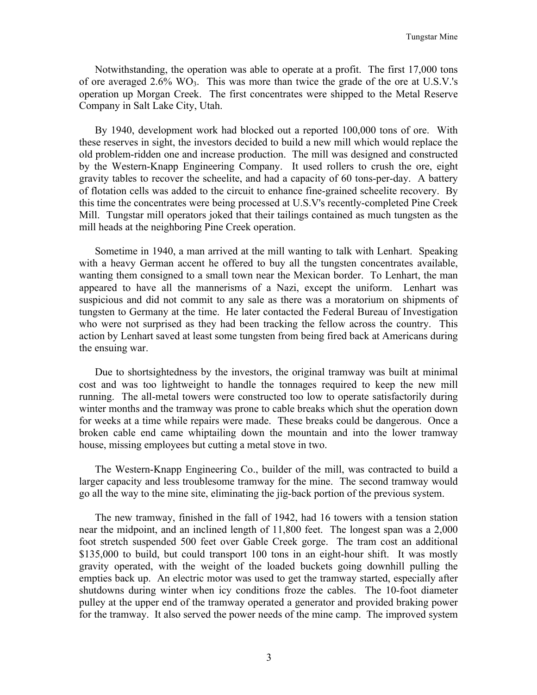Notwithstanding, the operation was able to operate at a profit. The first 17,000 tons of ore averaged  $2.6\%$  WO<sub>3</sub>. This was more than twice the grade of the ore at U.S.V.'s operation up Morgan Creek. The first concentrates were shipped to the Metal Reserve Company in Salt Lake City, Utah.

By 1940, development work had blocked out a reported 100,000 tons of ore. With these reserves in sight, the investors decided to build a new mill which would replace the old problem-ridden one and increase production. The mill was designed and constructed by the Western-Knapp Engineering Company. It used rollers to crush the ore, eight gravity tables to recover the scheelite, and had a capacity of 60 tons-per-day. A battery of flotation cells was added to the circuit to enhance fine-grained scheelite recovery. By this time the concentrates were being processed at U.S.V's recently-completed Pine Creek Mill. Tungstar mill operators joked that their tailings contained as much tungsten as the mill heads at the neighboring Pine Creek operation.

Sometime in 1940, a man arrived at the mill wanting to talk with Lenhart. Speaking with a heavy German accent he offered to buy all the tungsten concentrates available, wanting them consigned to a small town near the Mexican border. To Lenhart, the man appeared to have all the mannerisms of a Nazi, except the uniform. Lenhart was suspicious and did not commit to any sale as there was a moratorium on shipments of tungsten to Germany at the time. He later contacted the Federal Bureau of Investigation who were not surprised as they had been tracking the fellow across the country. This action by Lenhart saved at least some tungsten from being fired back at Americans during the ensuing war.

Due to shortsightedness by the investors, the original tramway was built at minimal cost and was too lightweight to handle the tonnages required to keep the new mill running. The all-metal towers were constructed too low to operate satisfactorily during winter months and the tramway was prone to cable breaks which shut the operation down for weeks at a time while repairs were made. These breaks could be dangerous. Once a broken cable end came whiptailing down the mountain and into the lower tramway house, missing employees but cutting a metal stove in two.

The Western-Knapp Engineering Co., builder of the mill, was contracted to build a larger capacity and less troublesome tramway for the mine. The second tramway would go all the way to the mine site, eliminating the jig-back portion of the previous system.

The new tramway, finished in the fall of 1942, had 16 towers with a tension station near the midpoint, and an inclined length of 11,800 feet. The longest span was a 2,000 foot stretch suspended 500 feet over Gable Creek gorge. The tram cost an additional \$135,000 to build, but could transport 100 tons in an eight-hour shift. It was mostly gravity operated, with the weight of the loaded buckets going downhill pulling the empties back up. An electric motor was used to get the tramway started, especially after shutdowns during winter when icy conditions froze the cables. The 10-foot diameter pulley at the upper end of the tramway operated a generator and provided braking power for the tramway. It also served the power needs of the mine camp. The improved system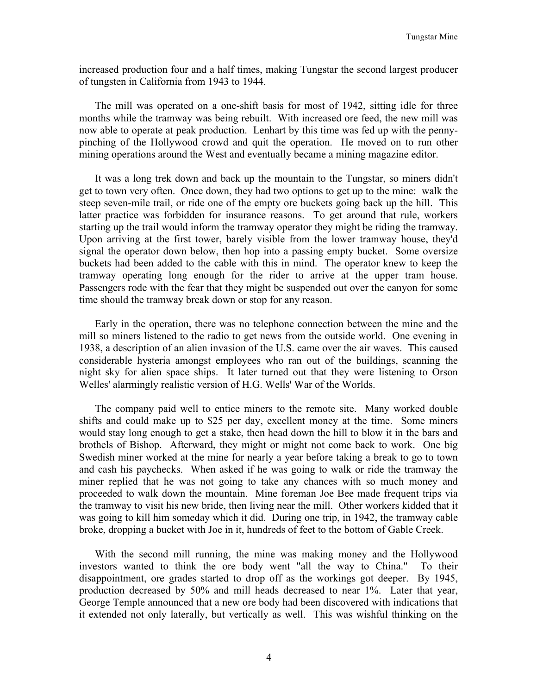increased production four and a half times, making Tungstar the second largest producer of tungsten in California from 1943 to 1944.

The mill was operated on a one-shift basis for most of 1942, sitting idle for three months while the tramway was being rebuilt. With increased ore feed, the new mill was now able to operate at peak production. Lenhart by this time was fed up with the pennypinching of the Hollywood crowd and quit the operation. He moved on to run other mining operations around the West and eventually became a mining magazine editor.

It was a long trek down and back up the mountain to the Tungstar, so miners didn't get to town very often. Once down, they had two options to get up to the mine: walk the steep seven-mile trail, or ride one of the empty ore buckets going back up the hill. This latter practice was forbidden for insurance reasons. To get around that rule, workers starting up the trail would inform the tramway operator they might be riding the tramway. Upon arriving at the first tower, barely visible from the lower tramway house, they'd signal the operator down below, then hop into a passing empty bucket. Some oversize buckets had been added to the cable with this in mind. The operator knew to keep the tramway operating long enough for the rider to arrive at the upper tram house. Passengers rode with the fear that they might be suspended out over the canyon for some time should the tramway break down or stop for any reason.

Early in the operation, there was no telephone connection between the mine and the mill so miners listened to the radio to get news from the outside world. One evening in 1938, a description of an alien invasion of the U.S. came over the air waves. This caused considerable hysteria amongst employees who ran out of the buildings, scanning the night sky for alien space ships. It later turned out that they were listening to Orson Welles' alarmingly realistic version of H.G. Wells' War of the Worlds.

The company paid well to entice miners to the remote site. Many worked double shifts and could make up to \$25 per day, excellent money at the time. Some miners would stay long enough to get a stake, then head down the hill to blow it in the bars and brothels of Bishop. Afterward, they might or might not come back to work. One big Swedish miner worked at the mine for nearly a year before taking a break to go to town and cash his paychecks. When asked if he was going to walk or ride the tramway the miner replied that he was not going to take any chances with so much money and proceeded to walk down the mountain. Mine foreman Joe Bee made frequent trips via the tramway to visit his new bride, then living near the mill. Other workers kidded that it was going to kill him someday which it did. During one trip, in 1942, the tramway cable broke, dropping a bucket with Joe in it, hundreds of feet to the bottom of Gable Creek.

With the second mill running, the mine was making money and the Hollywood investors wanted to think the ore body went "all the way to China." To their disappointment, ore grades started to drop off as the workings got deeper. By 1945, production decreased by 50% and mill heads decreased to near 1%. Later that year, George Temple announced that a new ore body had been discovered with indications that it extended not only laterally, but vertically as well. This was wishful thinking on the